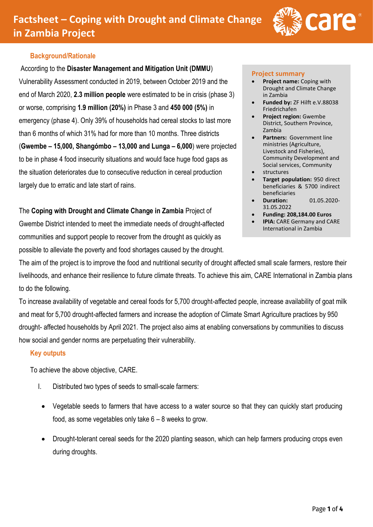

# **Background/Rationale**

According to the **Disaster Management and Mitigation Unit (DMMU**)

Vulnerability Assessment conducted in 2019, between October 2019 and the end of March 2020, **2.3 million people** were estimated to be in crisis (phase 3) or worse, comprising **1.9 million (20%)** in Phase 3 and **450 000 (5%)** in emergency (phase 4). Only 39% of households had cereal stocks to last more than 6 months of which 31% had for more than 10 months. Three districts (**Gwembe – 15,000, Shangómbo – 13,000 and Lunga – 6,000**) were projected to be in phase 4 food insecurity situations and would face huge food gaps as the situation deteriorates due to consecutive reduction in cereal production largely due to erratic and late start of rains.

The **Coping with Drought and Climate Change in Zambia** Project of Gwembe District intended to meet the immediate needs of drought-affected communities and support people to recover from the drought as quickly as possible to alleviate the poverty and food shortages caused by the drought.

#### **Project summary**

- **Project name:** Coping with Drought and Climate Change in Zambia
- **Funded by:** ZF Hilft e.V.88038 Friedrichafen
- **Project region:** Gwembe District, Southern Province, Zambia
- **Partners:** Government line ministries (Agriculture, Livestock and Fisheries), Community Development and Social services, Community
- structures
- **Target population:** 950 direct beneficiaries & 5700 indirect beneficiaries
- **Duration:** 01.05.2020- 31.05.2022
- **Funding: 208,184.00 Euros**
- **IPIA: CARE Germany and CARE** International in Zambia

The aim of the project is to improve the food and nutritional security of drought affected small scale farmers, restore their livelihoods, and enhance their resilience to future climate threats. To achieve this aim, CARE International in Zambia plans to do the following.

To increase availability of vegetable and cereal foods for 5,700 drought-affected people, increase availability of goat milk and meat for 5,700 drought-affected farmers and increase the adoption of Climate Smart Agriculture practices by 950 drought- affected households by April 2021. The project also aims at enabling conversations by communities to discuss how social and gender norms are perpetuating their vulnerability.

## **Key outputs**

To achieve the above objective, CARE.

- I. Distributed two types of seeds to small-scale farmers:
- Vegetable seeds to farmers that have access to a water source so that they can quickly start producing food, as some vegetables only take 6 – 8 weeks to grow.
- Drought-tolerant cereal seeds for the 2020 planting season, which can help farmers producing crops even during droughts.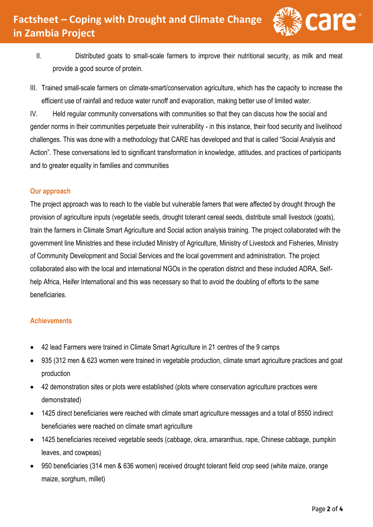

- II. Distributed goats to small-scale farmers to improve their nutritional security, as milk and meat provide a good source of protein.
- III. Trained small-scale farmers on climate-smart/conservation agriculture, which has the capacity to increase the efficient use of rainfall and reduce water runoff and evaporation, making better use of limited water.

IV. Held regular community conversations with communities so that they can discuss how the social and gender norms in their communities perpetuate their vulnerability - in this instance, their food security and livelihood challenges. This was done with a methodology that CARE has developed and that is called "Social Analysis and Action". These conversations led to significant transformation in knowledge, attitudes, and practices of participants and to greater equality in families and communities

# **Our approach**

The project approach was to reach to the viable but vulnerable famers that were affected by drought through the provision of agriculture inputs (vegetable seeds, drought tolerant cereal seeds, distribute small livestock (goats), train the farmers in Climate Smart Agriculture and Social action analysis training. The project collaborated with the government line Ministries and these included Ministry of Agriculture, Ministry of Livestock and Fisheries, Ministry of Community Development and Social Services and the local government and administration. The project collaborated also with the local and international NGOs in the operation district and these included ADRA, Selfhelp Africa, Heifer International and this was necessary so that to avoid the doubling of efforts to the same beneficiaries.

## **Achievements**

- 42 lead Farmers were trained in Climate Smart Agriculture in 21 centres of the 9 camps
- 935 (312 men & 623 women were trained in vegetable production, climate smart agriculture practices and goat production
- 42 demonstration sites or plots were established (plots where conservation agriculture practices were demonstrated)
- 1425 direct beneficiaries were reached with climate smart agriculture messages and a total of 8550 indirect beneficiaries were reached on climate smart agriculture
- 1425 beneficiaries received vegetable seeds (cabbage, okra, amaranthus, rape, Chinese cabbage, pumpkin leaves, and cowpeas)
- 950 beneficiaries (314 men & 636 women) received drought tolerant field crop seed (white maize, orange maize, sorghum, millet)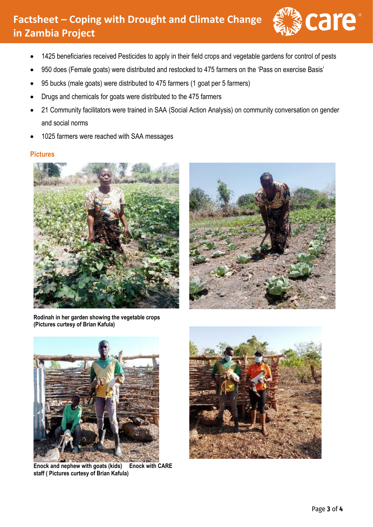# **Factsheet – Coping with Drought and Climate Change in Zambia Project**



- 1425 beneficiaries received Pesticides to apply in their field crops and vegetable gardens for control of pests
- 950 does (Female goats) were distributed and restocked to 475 farmers on the 'Pass on exercise Basis'
- 95 bucks (male goats) were distributed to 475 farmers (1 goat per 5 farmers)
- Drugs and chemicals for goats were distributed to the 475 farmers
- 21 Community facilitators were trained in SAA (Social Action Analysis) on community conversation on gender and social norms
- 1025 farmers were reached with SAA messages

## **Pictures**





**Rodinah in her garden showing the vegetable crops (Pictures curtesy of Brian Kafula)**

![](_page_2_Picture_12.jpeg)

**Enock and nephew with goats (kids) Enock with CARE staff ( Pictures curtesy of Brian Kafula)** 

![](_page_2_Picture_14.jpeg)